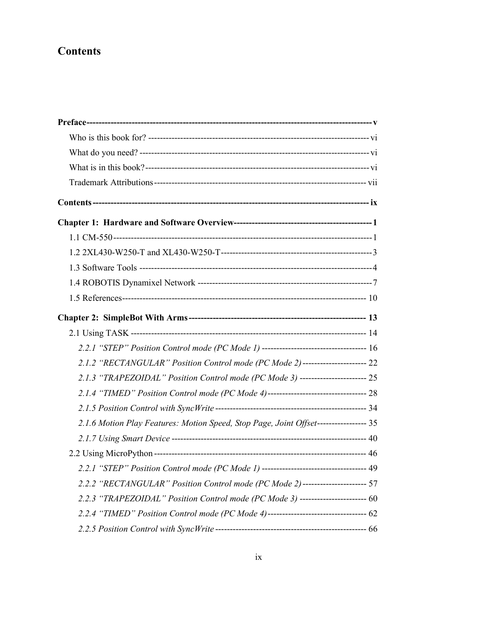## **Contents**

| 2.2.1 "STEP" Position Control mode (PC Mode 1) ---------------------------------- 16 |  |
|--------------------------------------------------------------------------------------|--|
| 2.1.2 "RECTANGULAR" Position Control mode (PC Mode 2)---------------------- 22       |  |
| 2.1.3 "TRAPEZOIDAL" Position Control mode (PC Mode 3) ---------------------- 25      |  |
| 2.1.4 "TIMED" Position Control mode (PC Mode 4)--------------------------------- 28  |  |
|                                                                                      |  |
| 2.1.6 Motion Play Features: Motion Speed, Stop Page, Joint Offset---------------- 35 |  |
|                                                                                      |  |
|                                                                                      |  |
| 2.2.1 "STEP" Position Control mode (PC Mode 1) ---------------------------------- 49 |  |
| 2.2.2 "RECTANGULAR" Position Control mode (PC Mode 2)--------------------- 57        |  |
| 2.2.3 "TRAPEZOIDAL" Position Control mode (PC Mode 3) ---------------------- 60      |  |
| 2.2.4 "TIMED" Position Control mode (PC Mode 4)--------------------------------- 62  |  |
|                                                                                      |  |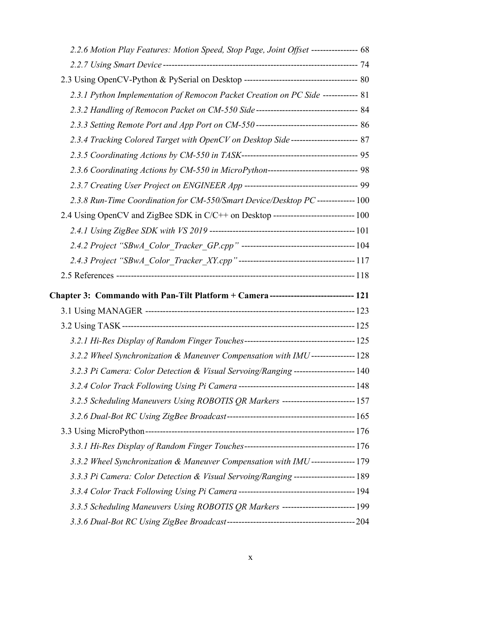| 2.2.6 Motion Play Features: Motion Speed, Stop Page, Joint Offset ---------------- 68 |  |
|---------------------------------------------------------------------------------------|--|
|                                                                                       |  |
|                                                                                       |  |
| 2.3.1 Python Implementation of Remocon Packet Creation on PC Side ------------ 81     |  |
| 2.3.2 Handling of Remocon Packet on CM-550 Side----------------------------------- 84 |  |
|                                                                                       |  |
| 2.3.4 Tracking Colored Target with OpenCV on Desktop Side----------------------- 87   |  |
|                                                                                       |  |
| 2.3.6 Coordinating Actions by CM-550 in MicroPython------------------------------ 98  |  |
|                                                                                       |  |
| 2.3.8 Run-Time Coordination for CM-550/Smart Device/Desktop PC -------------- 100     |  |
| 2.4 Using OpenCV and ZigBee SDK in C/C++ on Desktop ---------------------------- 100  |  |
|                                                                                       |  |
|                                                                                       |  |
|                                                                                       |  |
|                                                                                       |  |
|                                                                                       |  |
|                                                                                       |  |
| Chapter 3: Commando with Pan-Tilt Platform + Camera ---------------------------- 121  |  |
|                                                                                       |  |
|                                                                                       |  |
| 3.2.2 Wheel Synchronization & Maneuver Compensation with IMU --------------- 128      |  |
|                                                                                       |  |
| 3.2.3 Pi Camera: Color Detection & Visual Servoing/Ranging --------------------- 140  |  |
| 3.2.5 Scheduling Maneuvers Using ROBOTIS QR Markers -------------------------- 157    |  |
|                                                                                       |  |
|                                                                                       |  |
|                                                                                       |  |
| 3.3.2 Wheel Synchronization & Maneuver Compensation with IMU----------------179       |  |
| 3.3.3 Pi Camera: Color Detection & Visual Servoing/Ranging --------------------- 189  |  |
|                                                                                       |  |
| 3.3.5 Scheduling Maneuvers Using ROBOTIS QR Markers -------------------------- 199    |  |